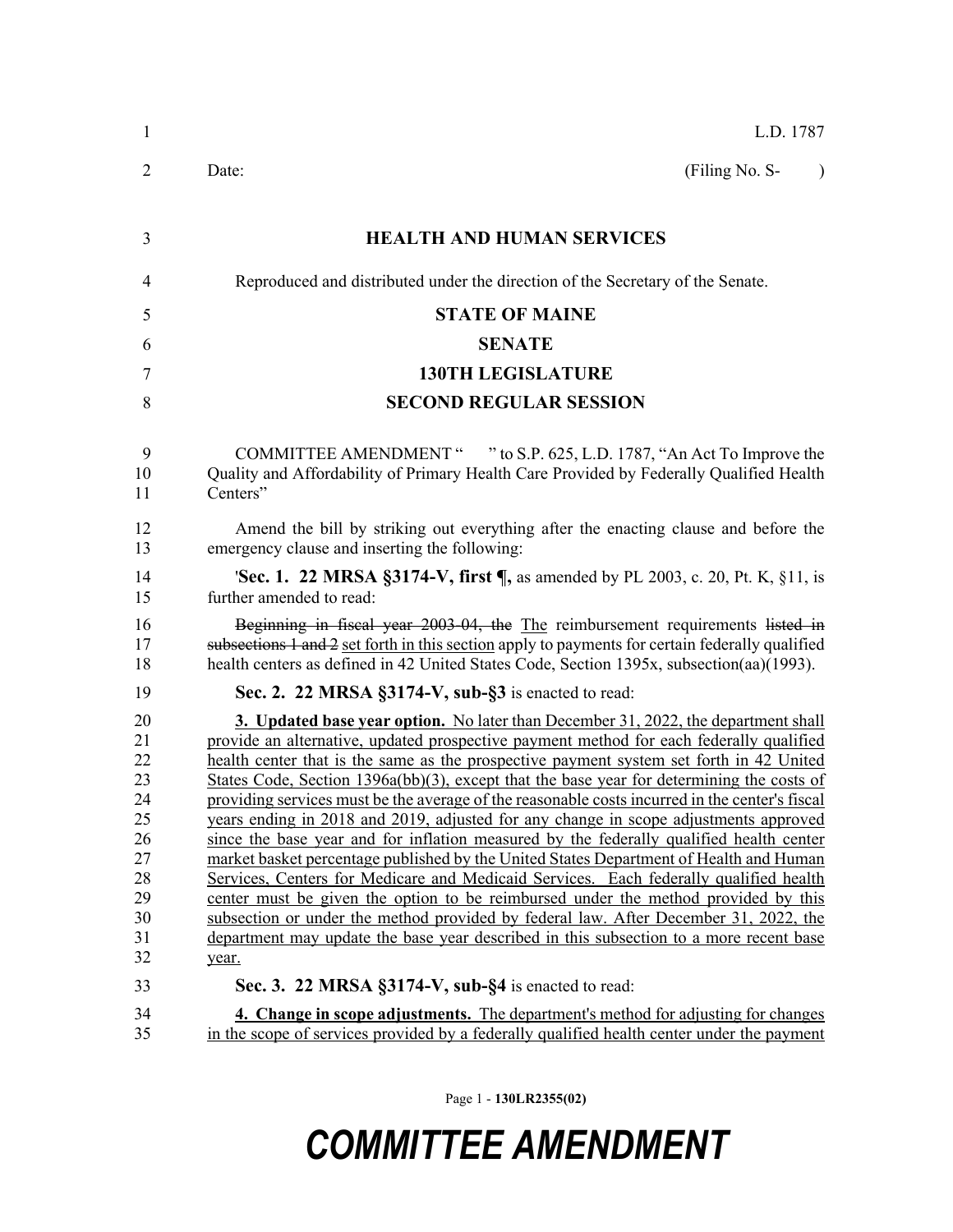| $\mathbf{1}$                                                                     | L.D. 1787                                                                                                                                                                                                                                                                                                                                                                                                                                                                                                                                                                                                                                                                                                                                                                                                                                                                                                                                                                                                                                                                                                                                                                                    |  |  |  |
|----------------------------------------------------------------------------------|----------------------------------------------------------------------------------------------------------------------------------------------------------------------------------------------------------------------------------------------------------------------------------------------------------------------------------------------------------------------------------------------------------------------------------------------------------------------------------------------------------------------------------------------------------------------------------------------------------------------------------------------------------------------------------------------------------------------------------------------------------------------------------------------------------------------------------------------------------------------------------------------------------------------------------------------------------------------------------------------------------------------------------------------------------------------------------------------------------------------------------------------------------------------------------------------|--|--|--|
| 2                                                                                | (Filing No. S-<br>Date:<br>$\lambda$                                                                                                                                                                                                                                                                                                                                                                                                                                                                                                                                                                                                                                                                                                                                                                                                                                                                                                                                                                                                                                                                                                                                                         |  |  |  |
| 3                                                                                | <b>HEALTH AND HUMAN SERVICES</b>                                                                                                                                                                                                                                                                                                                                                                                                                                                                                                                                                                                                                                                                                                                                                                                                                                                                                                                                                                                                                                                                                                                                                             |  |  |  |
| 4                                                                                | Reproduced and distributed under the direction of the Secretary of the Senate.                                                                                                                                                                                                                                                                                                                                                                                                                                                                                                                                                                                                                                                                                                                                                                                                                                                                                                                                                                                                                                                                                                               |  |  |  |
| 5                                                                                | <b>STATE OF MAINE</b>                                                                                                                                                                                                                                                                                                                                                                                                                                                                                                                                                                                                                                                                                                                                                                                                                                                                                                                                                                                                                                                                                                                                                                        |  |  |  |
| 6                                                                                | <b>SENATE</b>                                                                                                                                                                                                                                                                                                                                                                                                                                                                                                                                                                                                                                                                                                                                                                                                                                                                                                                                                                                                                                                                                                                                                                                |  |  |  |
| 7                                                                                | <b>130TH LEGISLATURE</b>                                                                                                                                                                                                                                                                                                                                                                                                                                                                                                                                                                                                                                                                                                                                                                                                                                                                                                                                                                                                                                                                                                                                                                     |  |  |  |
| 8                                                                                | <b>SECOND REGULAR SESSION</b>                                                                                                                                                                                                                                                                                                                                                                                                                                                                                                                                                                                                                                                                                                                                                                                                                                                                                                                                                                                                                                                                                                                                                                |  |  |  |
| 9<br>10<br>11                                                                    | COMMITTEE AMENDMENT " " to S.P. 625, L.D. 1787, "An Act To Improve the<br>Quality and Affordability of Primary Health Care Provided by Federally Qualified Health<br>Centers"                                                                                                                                                                                                                                                                                                                                                                                                                                                                                                                                                                                                                                                                                                                                                                                                                                                                                                                                                                                                                |  |  |  |
| 12<br>13                                                                         | Amend the bill by striking out everything after the enacting clause and before the<br>emergency clause and inserting the following:                                                                                                                                                                                                                                                                                                                                                                                                                                                                                                                                                                                                                                                                                                                                                                                                                                                                                                                                                                                                                                                          |  |  |  |
| 14<br>15                                                                         | <b>'Sec. 1. 22 MRSA §3174-V, first </b> , as amended by PL 2003, c. 20, Pt. K, §11, is<br>further amended to read:                                                                                                                                                                                                                                                                                                                                                                                                                                                                                                                                                                                                                                                                                                                                                                                                                                                                                                                                                                                                                                                                           |  |  |  |
| 16<br>17<br>18                                                                   | Beginning in fiscal year 2003-04, the The reimbursement requirements listed in<br>subsections 1 and 2 set forth in this section apply to payments for certain federally qualified<br>health centers as defined in 42 United States Code, Section 1395x, subsection(aa)(1993).                                                                                                                                                                                                                                                                                                                                                                                                                                                                                                                                                                                                                                                                                                                                                                                                                                                                                                                |  |  |  |
| 19                                                                               | Sec. 2. 22 MRSA §3174-V, sub-§3 is enacted to read:                                                                                                                                                                                                                                                                                                                                                                                                                                                                                                                                                                                                                                                                                                                                                                                                                                                                                                                                                                                                                                                                                                                                          |  |  |  |
| 20<br>21<br>22<br>23<br>24<br>25<br>26<br>27<br>28<br>29<br>30<br>31<br>32<br>33 | <b>3.</b> Updated base year option. No later than December 31, 2022, the department shall<br>provide an alternative, updated prospective payment method for each federally qualified<br>health center that is the same as the prospective payment system set forth in 42 United<br>States Code, Section 1396a(bb)(3), except that the base year for determining the costs of<br>providing services must be the average of the reasonable costs incurred in the center's fiscal<br>years ending in 2018 and 2019, adjusted for any change in scope adjustments approved<br>since the base year and for inflation measured by the federally qualified health center<br>market basket percentage published by the United States Department of Health and Human<br>Services, Centers for Medicare and Medicaid Services. Each federally qualified health<br>center must be given the option to be reimbursed under the method provided by this<br>subsection or under the method provided by federal law. After December 31, 2022, the<br>department may update the base year described in this subsection to a more recent base<br>year.<br>Sec. 3. 22 MRSA §3174-V, sub-§4 is enacted to read: |  |  |  |
| 34<br>35                                                                         | 4. Change in scope adjustments. The department's method for adjusting for changes<br>in the scope of services provided by a federally qualified health center under the payment                                                                                                                                                                                                                                                                                                                                                                                                                                                                                                                                                                                                                                                                                                                                                                                                                                                                                                                                                                                                              |  |  |  |

Page 1 - **130LR2355(02)**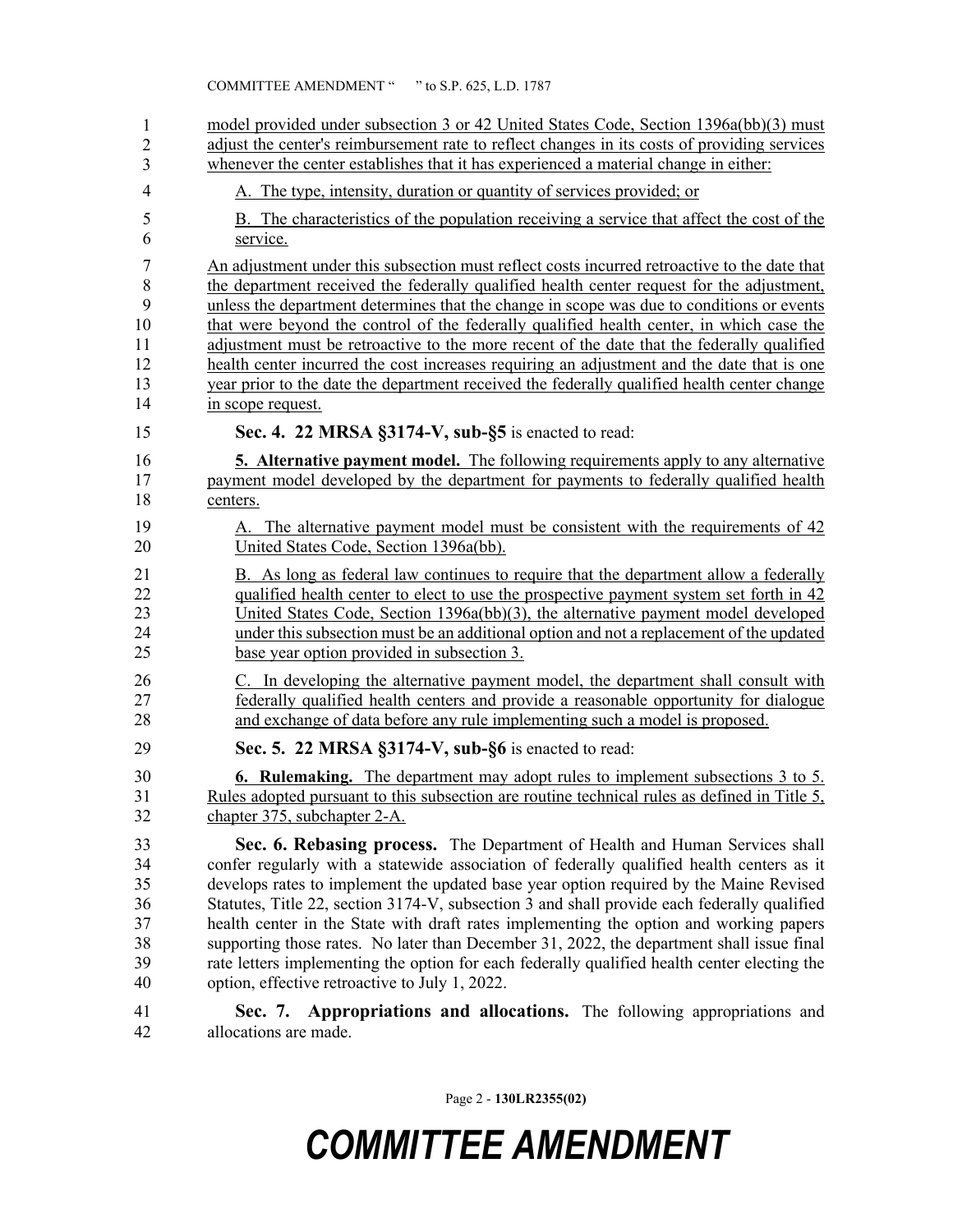| 1              | model provided under subsection 3 or 42 United States Code, Section 1396a(bb)(3) must                |  |  |  |  |
|----------------|------------------------------------------------------------------------------------------------------|--|--|--|--|
| $\overline{2}$ | adjust the center's reimbursement rate to reflect changes in its costs of providing services         |  |  |  |  |
| 3              | whenever the center establishes that it has experienced a material change in either:                 |  |  |  |  |
| 4              | A. The type, intensity, duration or quantity of services provided; or                                |  |  |  |  |
| 5              | B. The characteristics of the population receiving a service that affect the cost of the             |  |  |  |  |
| 6              | service.                                                                                             |  |  |  |  |
| 7              | An adjustment under this subsection must reflect costs incurred retroactive to the date that         |  |  |  |  |
| 8              | the department received the federally qualified health center request for the adjustment,            |  |  |  |  |
| 9              | unless the department determines that the change in scope was due to conditions or events            |  |  |  |  |
| 10             | that were beyond the control of the federally qualified health center, in which case the             |  |  |  |  |
| 11             | adjustment must be retroactive to the more recent of the date that the federally qualified           |  |  |  |  |
| 12             | health center incurred the cost increases requiring an adjustment and the date that is one           |  |  |  |  |
| 13             | year prior to the date the department received the federally qualified health center change          |  |  |  |  |
| 14             | in scope request.                                                                                    |  |  |  |  |
| 15             | Sec. 4. 22 MRSA §3174-V, sub-§5 is enacted to read:                                                  |  |  |  |  |
| 16             | <b><u>5. Alternative payment model.</u></b> The following requirements apply to any alternative      |  |  |  |  |
| 17             | payment model developed by the department for payments to federally qualified health                 |  |  |  |  |
| 18             | centers.                                                                                             |  |  |  |  |
| 19             | A. The alternative payment model must be consistent with the requirements of 42                      |  |  |  |  |
| 20             | United States Code, Section 1396a(bb).                                                               |  |  |  |  |
| 21             | B. As long as federal law continues to require that the department allow a federally                 |  |  |  |  |
| 22             | qualified health center to elect to use the prospective payment system set forth in 42               |  |  |  |  |
| 23             | United States Code, Section $1396a(bb)(3)$ , the alternative payment model developed                 |  |  |  |  |
| 24             | under this subsection must be an additional option and not a replacement of the updated              |  |  |  |  |
| 25             | base year option provided in subsection 3.                                                           |  |  |  |  |
| 26             | C. In developing the alternative payment model, the department shall consult with                    |  |  |  |  |
| 27             | federally qualified health centers and provide a reasonable opportunity for dialogue                 |  |  |  |  |
| 28             | and exchange of data before any rule implementing such a model is proposed.                          |  |  |  |  |
| 29             | Sec. 5. 22 MRSA §3174-V, sub-§6 is enacted to read:                                                  |  |  |  |  |
| 30             | <b>6. Rulemaking.</b> The department may adopt rules to implement subsections 3 to 5.                |  |  |  |  |
| 31             | Rules adopted pursuant to this subsection are routine technical rules as defined in Title 5,         |  |  |  |  |
| 32             | chapter 375, subchapter 2-A.                                                                         |  |  |  |  |
| 33             | Sec. 6. Rebasing process. The Department of Health and Human Services shall                          |  |  |  |  |
| 34             | confer regularly with a statewide association of federally qualified health centers as it            |  |  |  |  |
| 35             | develops rates to implement the updated base year option required by the Maine Revised               |  |  |  |  |
| 36             | Statutes, Title 22, section 3174-V, subsection 3 and shall provide each federally qualified          |  |  |  |  |
| 37             | health center in the State with draft rates implementing the option and working papers               |  |  |  |  |
| 38             | supporting those rates. No later than December 31, 2022, the department shall issue final            |  |  |  |  |
| 39             | rate letters implementing the option for each federally qualified health center electing the         |  |  |  |  |
| 40             | option, effective retroactive to July 1, 2022.                                                       |  |  |  |  |
| 41<br>42       | Appropriations and allocations. The following appropriations and<br>Sec. 7.<br>allocations are made. |  |  |  |  |

Page 2 - **130LR2355(02)**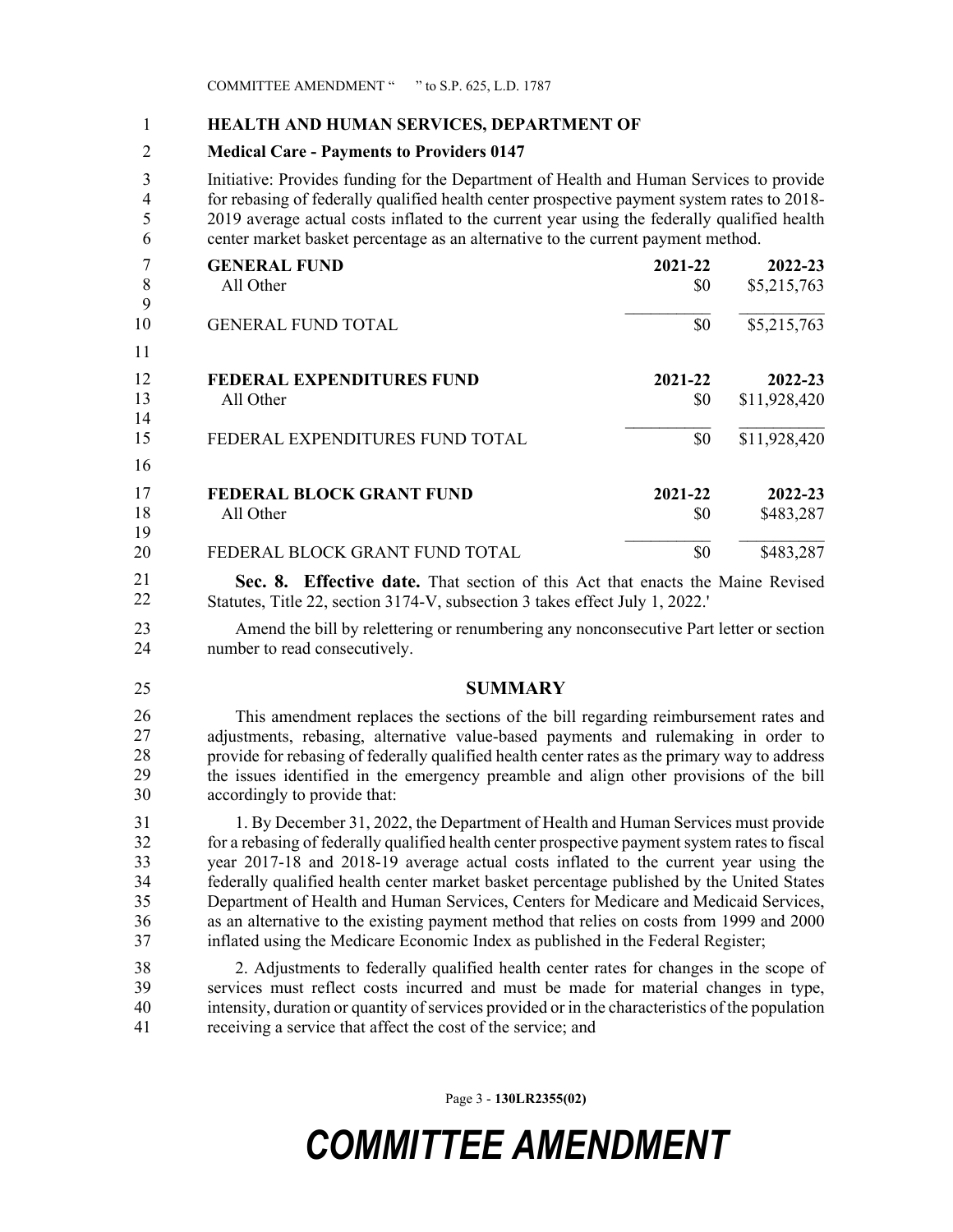#### 1 **HEALTH AND HUMAN SERVICES, DEPARTMENT OF**

#### 2 **Medical Care - Payments to Providers 0147**

3 Initiative: Provides funding for the Department of Health and Human Services to provide 4 for rebasing of federally qualified health center prospective payment system rates to 2018- 5 2019 average actual costs inflated to the current year using the federally qualified health 6 center market basket percentage as an alternative to the current payment method.

|    | <b>GENERAL FUND</b>              | 2021-22 | 2022-23      |
|----|----------------------------------|---------|--------------|
| 8  | All Other                        | \$0     | \$5,215,763  |
| 9  |                                  |         |              |
| 10 | <b>GENERAL FUND TOTAL</b>        | \$0     | \$5,215,763  |
| 11 |                                  |         |              |
| 12 | <b>FEDERAL EXPENDITURES FUND</b> | 2021-22 | 2022-23      |
| 13 | All Other                        | \$0     | \$11,928,420 |
| 14 |                                  |         |              |
| 15 | FEDERAL EXPENDITURES FUND TOTAL  | \$0     | \$11,928,420 |
| 16 |                                  |         |              |
| 17 | <b>FEDERAL BLOCK GRANT FUND</b>  | 2021-22 | 2022-23      |
| 18 | All Other                        | \$0     | \$483,287    |
| 19 |                                  |         |              |
| 20 | FEDERAL BLOCK GRANT FUND TOTAL   | \$0     | \$483,287    |

**Sec. 8. Effective date.** That section of this Act that enacts the Maine Revised 18 Statutes, Title 22, section 3174-V, subsection 3 takes effect July 1, 2022.' 21 22

23 Amend the bill by relettering or renumbering any nonconsecutive Part letter or section 24 number to read consecutively.

#### 25 **SUMMARY**

26 This amendment replaces the sections of the bill regarding reimbursement rates and adjustments, rebasing, alternative value-based payments and rulemaking in order to provide for rebasing of federally qualified health center rates as the primary way to address 29 the issues identified in the emergency preamble and align other provisions of the bill accordingly to provide that: 26 27 28 29 30

31 1. By December 31, 2022, the Department of Health and Human Services must provide 32 for a rebasing of federally qualified health center prospective payment system rates to fiscal 33 year 2017-18 and 2018-19 average actual costs inflated to the current year using the 34 federally qualified health center market basket percentage published by the United States 35 Department of Health and Human Services, Centers for Medicare and Medicaid Services, 36 as an alternative to the existing payment method that relies on costs from 1999 and 2000 37 inflated using the Medicare Economic Index as published in the Federal Register;

38 2. Adjustments to federally qualified health center rates for changes in the scope of 39 services must reflect costs incurred and must be made for material changes in type, 40 intensity, duration or quantity of services provided or in the characteristics of the population 41 receiving a service that affect the cost of the service; and

Page 3 - **130LR2355(02)**